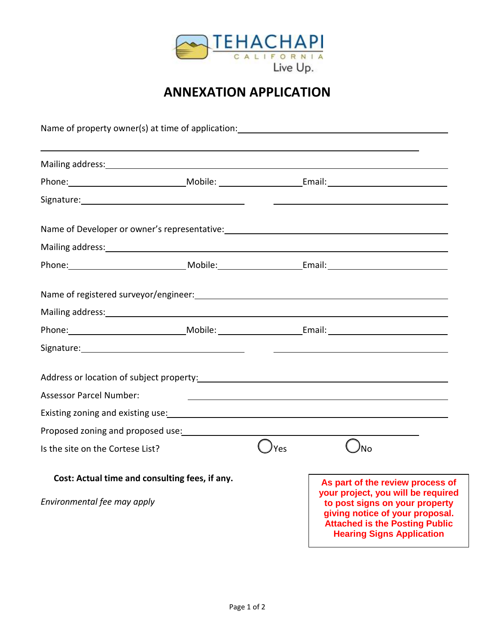

## **ANNEXATION APPLICATION**

|                                                                                                                                                                                                                                |  |                                                                                                                                                                                                                                | Name of property owner(s) at time of application: Name is not all the set of property owner(s) at time of application:                                                                                                   |
|--------------------------------------------------------------------------------------------------------------------------------------------------------------------------------------------------------------------------------|--|--------------------------------------------------------------------------------------------------------------------------------------------------------------------------------------------------------------------------------|--------------------------------------------------------------------------------------------------------------------------------------------------------------------------------------------------------------------------|
| Mailing address: Mailing and the Second Contract of the Mailing and the Mailing and the Mail of the Mail of the Mail of the Mail of the Mail of the Mail of the Mail of the Mail of the Mail of the Mail of the Mail of the Ma |  |                                                                                                                                                                                                                                |                                                                                                                                                                                                                          |
|                                                                                                                                                                                                                                |  |                                                                                                                                                                                                                                |                                                                                                                                                                                                                          |
|                                                                                                                                                                                                                                |  |                                                                                                                                                                                                                                |                                                                                                                                                                                                                          |
|                                                                                                                                                                                                                                |  |                                                                                                                                                                                                                                |                                                                                                                                                                                                                          |
| Mailing address: Mailing address: Mailing and Mailing and Mailing and Mailing and Mailing and Mailing and Mail                                                                                                                 |  |                                                                                                                                                                                                                                |                                                                                                                                                                                                                          |
|                                                                                                                                                                                                                                |  | Phone: Mobile: Mobile: Email: Email:                                                                                                                                                                                           |                                                                                                                                                                                                                          |
|                                                                                                                                                                                                                                |  |                                                                                                                                                                                                                                |                                                                                                                                                                                                                          |
| Mailing address: Mailing address: Mailing address: Mailing address: Mailing and Mailing and Mailing and Mailing and Mailing and Mailing and Mailing and Mailing and Mailing and Mailing and Mailing and Mailing and Mailing an |  |                                                                                                                                                                                                                                |                                                                                                                                                                                                                          |
|                                                                                                                                                                                                                                |  | Phone: Mobile: Mobile: Email: Email: Email: Email: Email: Email: Email: Email: Email: Email: Email: Email: Email: Email: Email: Email: Email: Email: Email: Email: Email: Email: Email: Email: Email: Email: Email: Email: Ema |                                                                                                                                                                                                                          |
|                                                                                                                                                                                                                                |  |                                                                                                                                                                                                                                |                                                                                                                                                                                                                          |
|                                                                                                                                                                                                                                |  |                                                                                                                                                                                                                                | Address or location of subject property: North Community of the Community of Address or location of subject property:                                                                                                    |
| <b>Assessor Parcel Number:</b>                                                                                                                                                                                                 |  |                                                                                                                                                                                                                                |                                                                                                                                                                                                                          |
| Existing zoning and existing use: North and the same state of the state of the state of the state of the state of the state of the state of the state of the state of the state of the state of the state of the state of the  |  |                                                                                                                                                                                                                                |                                                                                                                                                                                                                          |
| Proposed zoning and proposed use:                                                                                                                                                                                              |  |                                                                                                                                                                                                                                |                                                                                                                                                                                                                          |
| Is the site on the Cortese List?                                                                                                                                                                                               |  | <b>Yes</b>                                                                                                                                                                                                                     | <b>No</b>                                                                                                                                                                                                                |
| Cost: Actual time and consulting fees, if any.<br>Environmental fee may apply                                                                                                                                                  |  |                                                                                                                                                                                                                                | As part of the review process of<br>your project, you will be required<br>to post signs on your property<br>giving notice of your proposal.<br><b>Attached is the Posting Public</b><br><b>Hearing Signs Application</b> |